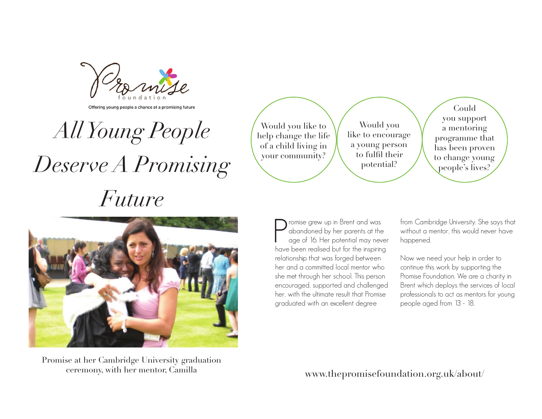Offering young people a chance at a promising future

*All Young People Deserve A Promising Future* 

Would you like to help change the life of a child living in your community?

Would you like to encourage a young person to fulfl their potential?

Could you support a mentoring programme that has been proven to change young people's lives?

 $\begin{tabular}{|c|c|} \hline \textbf{l} \text{romise grew up in Brent and was} \\ \hline \text{abandoned by her parents at the age of 16. Her potential may never have been realised but for the inspiring} \end{tabular}$ romise grew up in Brent and was abandoned by her parents at the age of 16. Her potential may never relationship that was forged between her and a committed local mentor who she met through her school. This person encouraged, supported and challenged her, with the ultimate result that Promise graduated with an excellent degree

from Cambridge University. She says that without a mentor, this would never have happened.

Now we need your help in order to continue this work by supporting the Promise Foundation. We are a charity in Brent which deploys the services of local professionals to act as mentors for young people aged from 13 - 18.

Promise at her Cambridge University graduation ceremony, with her mentor, Camilla

www.thepromisefoundation.org.uk/about/